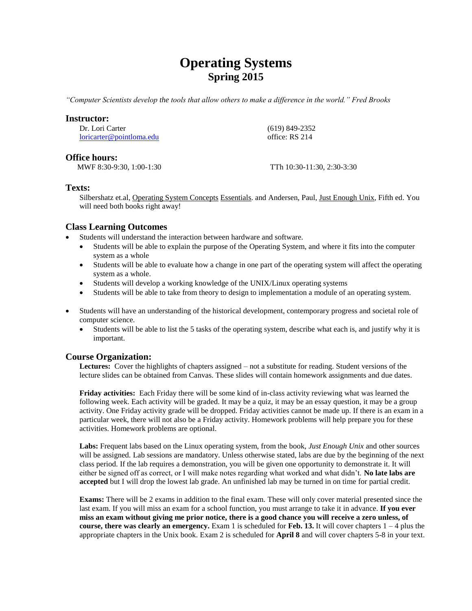# **Operating Systems Spring 2015**

*"Computer Scientists develop the tools that allow others to make a difference in the world." Fred Brooks*

#### **Instructor:**

Dr. Lori Carter [loricarter@pointloma.edu](mailto:loricarter@pointloma.edu)  (619) 849-2352 office: RS 214

## **Office hours:**

MWF 8:30-9:30, 1:00-1:30 TTh 10:30-11:30, 2:30-3:30

## **Texts:**

Silbershatz et.al, Operating System Concepts Essentials. and Andersen, Paul, Just Enough Unix, Fifth ed. You will need both books right away!

# **Class Learning Outcomes**

- Students will understand the interaction between hardware and software.
	- Students will be able to explain the purpose of the Operating System, and where it fits into the computer system as a whole
	- Students will be able to evaluate how a change in one part of the operating system will affect the operating system as a whole.
	- Students will develop a working knowledge of the UNIX/Linux operating systems
	- Students will be able to take from theory to design to implementation a module of an operating system.
- Students will have an understanding of the historical development, contemporary progress and societal role of computer science.
	- Students will be able to list the 5 tasks of the operating system, describe what each is, and justify why it is important.

# **Course Organization:**

**Lectures:** Cover the highlights of chapters assigned – not a substitute for reading. Student versions of the lecture slides can be obtained from Canvas. These slides will contain homework assignments and due dates.

**Friday activities:** Each Friday there will be some kind of in-class activity reviewing what was learned the following week. Each activity will be graded. It may be a quiz, it may be an essay question, it may be a group activity. One Friday activity grade will be dropped. Friday activities cannot be made up. If there is an exam in a particular week, there will not also be a Friday activity. Homework problems will help prepare you for these activities. Homework problems are optional.

**Labs:** Frequent labs based on the Linux operating system, from the book, *Just Enough Unix* and other sources will be assigned. Lab sessions are mandatory. Unless otherwise stated, labs are due by the beginning of the next class period. If the lab requires a demonstration, you will be given one opportunity to demonstrate it. It will either be signed off as correct, or I will make notes regarding what worked and what didn't. **No late labs are accepted** but I will drop the lowest lab grade. An unfinished lab may be turned in on time for partial credit.

**Exams:** There will be 2 exams in addition to the final exam. These will only cover material presented since the last exam. If you will miss an exam for a school function, you must arrange to take it in advance. **If you ever miss an exam without giving me prior notice, there is a good chance you will receive a zero unless, of course, there was clearly an emergency.** Exam 1 is scheduled for **Feb. 13.** It will cover chapters 1 – 4 plus the appropriate chapters in the Unix book. Exam 2 is scheduled for **April 8** and will cover chapters 5-8 in your text.